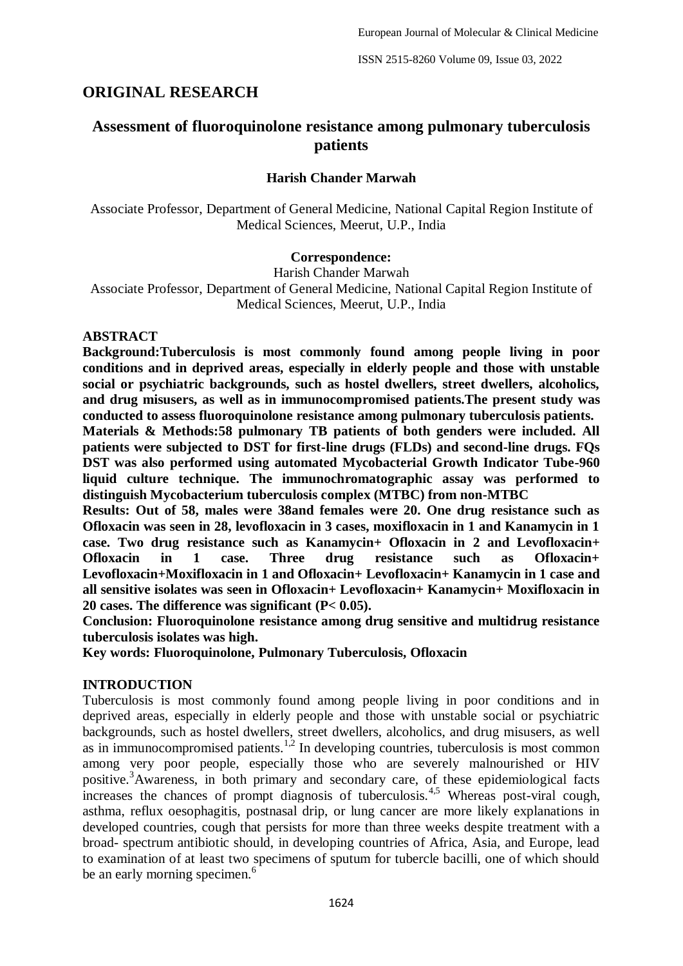## **ORIGINAL RESEARCH**

# **Assessment of fluoroquinolone resistance among pulmonary tuberculosis patients**

#### **Harish Chander Marwah**

Associate Professor, Department of General Medicine, National Capital Region Institute of Medical Sciences, Meerut, U.P., India

#### **Correspondence:**

Harish Chander Marwah

Associate Professor, Department of General Medicine, National Capital Region Institute of Medical Sciences, Meerut, U.P., India

### **ABSTRACT**

**Background:Tuberculosis is most commonly found among people living in poor conditions and in deprived areas, especially in elderly people and those with unstable social or psychiatric backgrounds, such as hostel dwellers, street dwellers, alcoholics, and drug misusers, as well as in immunocompromised patients.The present study was conducted to assess fluoroquinolone resistance among pulmonary tuberculosis patients.**

**Materials & Methods:58 pulmonary TB patients of both genders were included. All patients were subjected to DST for first-line drugs (FLDs) and second-line drugs. FQs DST was also performed using automated Mycobacterial Growth Indicator Tube-960 liquid culture technique. The immunochromatographic assay was performed to distinguish Mycobacterium tuberculosis complex (MTBC) from non-MTBC**

**Results: Out of 58, males were 38and females were 20. One drug resistance such as Ofloxacin was seen in 28, levofloxacin in 3 cases, moxifloxacin in 1 and Kanamycin in 1 case. Two drug resistance such as Kanamycin+ Ofloxacin in 2 and Levofloxacin+ Ofloxacin in 1 case. Three drug resistance such as Ofloxacin+ Levofloxacin+Moxifloxacin in 1 and Ofloxacin+ Levofloxacin+ Kanamycin in 1 case and all sensitive isolates was seen in Ofloxacin+ Levofloxacin+ Kanamycin+ Moxifloxacin in 20 cases. The difference was significant (P< 0.05).**

**Conclusion: Fluoroquinolone resistance among drug sensitive and multidrug resistance tuberculosis isolates was high.**

**Key words: Fluoroquinolone, Pulmonary Tuberculosis, Ofloxacin**

### **INTRODUCTION**

Tuberculosis is most commonly found among people living in poor conditions and in deprived areas, especially in elderly people and those with unstable social or psychiatric backgrounds, such as hostel dwellers, street dwellers, alcoholics, and drug misusers, as well as in immunocompromised patients.<sup>1,2</sup> In developing countries, tuberculosis is most common among very poor people, especially those who are severely malnourished or HIV positive.<sup>3</sup>Awareness, in both primary and secondary care, of these epidemiological facts increases the chances of prompt diagnosis of tuberculosis.<sup>4,5</sup> Whereas post-viral cough, asthma, reflux oesophagitis, postnasal drip, or lung cancer are more likely explanations in developed countries, cough that persists for more than three weeks despite treatment with a broad- spectrum antibiotic should, in developing countries of Africa, Asia, and Europe, lead to examination of at least two specimens of sputum for tubercle bacilli, one of which should be an early morning specimen.<sup>6</sup>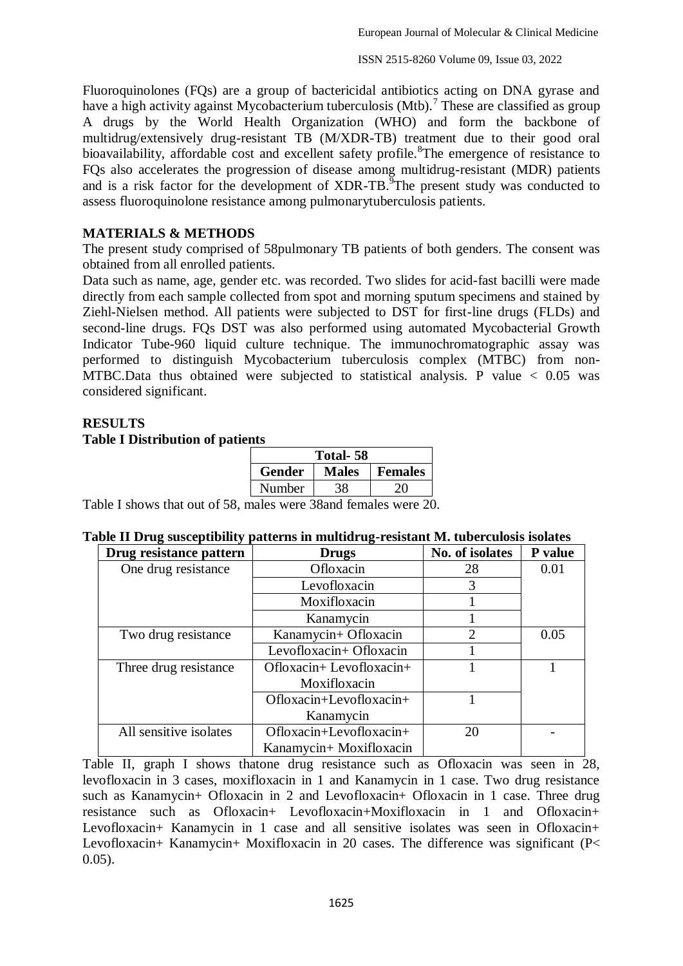Fluoroquinolones (FQs) are a group of bactericidal antibiotics acting on DNA gyrase and have a high activity against Mycobacterium tuberculosis (Mtb).<sup>7</sup> These are classified as group A drugs by the World Health Organization (WHO) and form the backbone of multidrug/extensively drug-resistant TB (M/XDR-TB) treatment due to their good oral bioavailability, affordable cost and excellent safety profile. <sup>8</sup>The emergence of resistance to FQs also accelerates the progression of disease among multidrug-resistant (MDR) patients and is a risk factor for the development of XDR-TB. The present study was conducted to assess fluoroquinolone resistance among pulmonarytuberculosis patients.

### **MATERIALS & METHODS**

The present study comprised of 58pulmonary TB patients of both genders. The consent was obtained from all enrolled patients.

Data such as name, age, gender etc. was recorded. Two slides for acid-fast bacilli were made directly from each sample collected from spot and morning sputum specimens and stained by Ziehl-Nielsen method. All patients were subjected to DST for first-line drugs (FLDs) and second-line drugs. FQs DST was also performed using automated Mycobacterial Growth Indicator Tube-960 liquid culture technique. The immunochromatographic assay was performed to distinguish Mycobacterium tuberculosis complex (MTBC) from non-MTBC.Data thus obtained were subjected to statistical analysis. P value  $\lt$  0.05 was considered significant.

# **RESULTS Table I Distribution of patients**

| Total-58      |              |                |  |  |  |  |
|---------------|--------------|----------------|--|--|--|--|
| <b>Gender</b> | <b>Males</b> | <b>Females</b> |  |  |  |  |
| Number        |              |                |  |  |  |  |

Table I shows that out of 58, males were 38and females were 20.

|  |  |  |  |  | Table II Drug susceptibility patterns in multidrug-resistant M. tuberculosis isolates |
|--|--|--|--|--|---------------------------------------------------------------------------------------|
|--|--|--|--|--|---------------------------------------------------------------------------------------|

| Drug resistance pattern | <b>Drugs</b>                 |                | P value |
|-------------------------|------------------------------|----------------|---------|
| One drug resistance     | Ofloxacin                    | 28             | 0.01    |
|                         | Levofloxacin                 | 3              |         |
|                         | Moxifloxacin                 |                |         |
|                         | Kanamycin                    |                |         |
| Two drug resistance     | Kanamycin+ Ofloxacin         | $\overline{2}$ | 0.05    |
|                         | Levofloxacin+ Ofloxacin      |                |         |
| Three drug resistance   | $Ofloxacin + Levofloxacin +$ |                |         |
|                         | Moxifloxacin                 |                |         |
|                         | Ofloxacin+Levofloxacin+      |                |         |
|                         | Kanamycin                    |                |         |
| All sensitive isolates  | Ofloxacin+Levofloxacin+      | 20             |         |
|                         | Kanamycin+ Moxifloxacin      |                |         |

Table II, graph I shows thatone drug resistance such as Ofloxacin was seen in 28, levofloxacin in 3 cases, moxifloxacin in 1 and Kanamycin in 1 case. Two drug resistance such as Kanamycin+ Ofloxacin in 2 and Levofloxacin+ Ofloxacin in 1 case. Three drug resistance such as Ofloxacin+ Levofloxacin+Moxifloxacin in 1 and Ofloxacin+ Levofloxacin+ Kanamycin in 1 case and all sensitive isolates was seen in Ofloxacin+ Levofloxacin+ Kanamycin+ Moxifloxacin in 20 cases. The difference was significant (P< 0.05).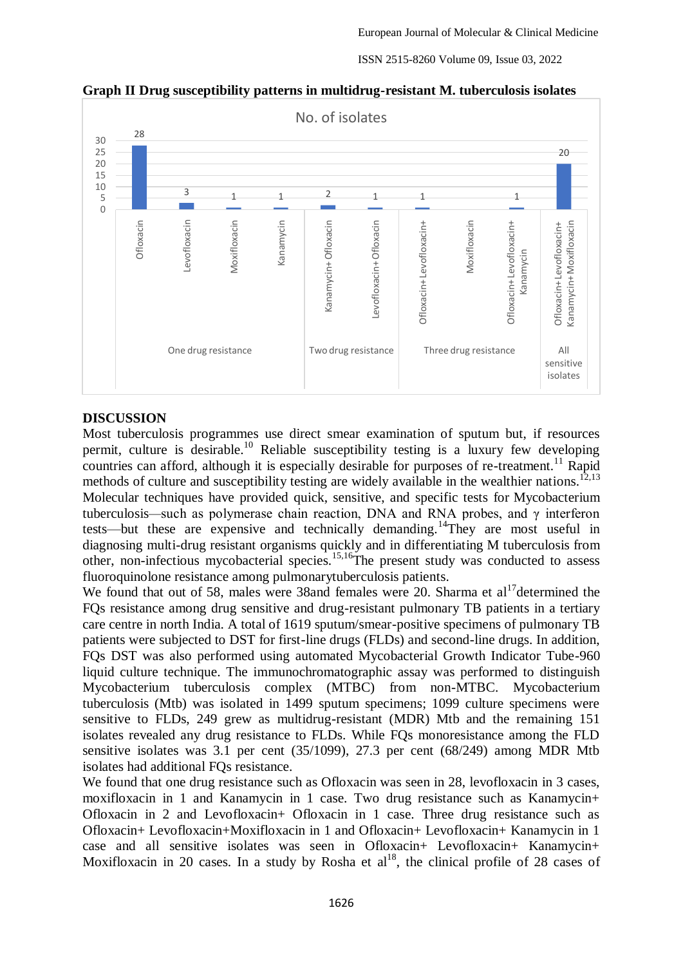

**Graph II Drug susceptibility patterns in multidrug-resistant M. tuberculosis isolates**

### **DISCUSSION**

Most tuberculosis programmes use direct smear examination of sputum but, if resources permit, culture is desirable.<sup>10</sup> Reliable susceptibility testing is a luxury few developing countries can afford, although it is especially desirable for purposes of re-treatment.<sup>11</sup> Rapid methods of culture and susceptibility testing are widely available in the wealthier nations.<sup>12,13</sup> Molecular techniques have provided quick, sensitive, and specific tests for Mycobacterium tuberculosis*—*such as polymerase chain reaction, DNA and RNA probes, and γ interferon tests—but these are expensive and technically demanding.<sup>14</sup>They are most useful in diagnosing multi-drug resistant organisms quickly and in differentiating M tuberculosis from other, non-infectious mycobacterial species.15,16The present study was conducted to assess fluoroquinolone resistance among pulmonarytuberculosis patients.

We found that out of 58, males were 38and females were 20. Sharma et  $al<sup>17</sup>$ determined the FQs resistance among drug sensitive and drug-resistant pulmonary TB patients in a tertiary care centre in north India. A total of 1619 sputum/smear-positive specimens of pulmonary TB patients were subjected to DST for first-line drugs (FLDs) and second-line drugs. In addition, FQs DST was also performed using automated Mycobacterial Growth Indicator Tube-960 liquid culture technique. The immunochromatographic assay was performed to distinguish Mycobacterium tuberculosis complex (MTBC) from non-MTBC. Mycobacterium tuberculosis (Mtb) was isolated in 1499 sputum specimens; 1099 culture specimens were sensitive to FLDs, 249 grew as multidrug-resistant (MDR) Mtb and the remaining 151 isolates revealed any drug resistance to FLDs. While FQs monoresistance among the FLD sensitive isolates was 3.1 per cent (35/1099), 27.3 per cent (68/249) among MDR Mtb isolates had additional FQs resistance.

We found that one drug resistance such as Ofloxacin was seen in 28, levofloxacin in 3 cases, moxifloxacin in 1 and Kanamycin in 1 case. Two drug resistance such as Kanamycin+ Ofloxacin in 2 and Levofloxacin+ Ofloxacin in 1 case. Three drug resistance such as Ofloxacin+ Levofloxacin+Moxifloxacin in 1 and Ofloxacin+ Levofloxacin+ Kanamycin in 1 case and all sensitive isolates was seen in Ofloxacin+ Levofloxacin+ Kanamycin+ Moxifloxacin in 20 cases. In a study by Rosha et  $al^{18}$ , the clinical profile of 28 cases of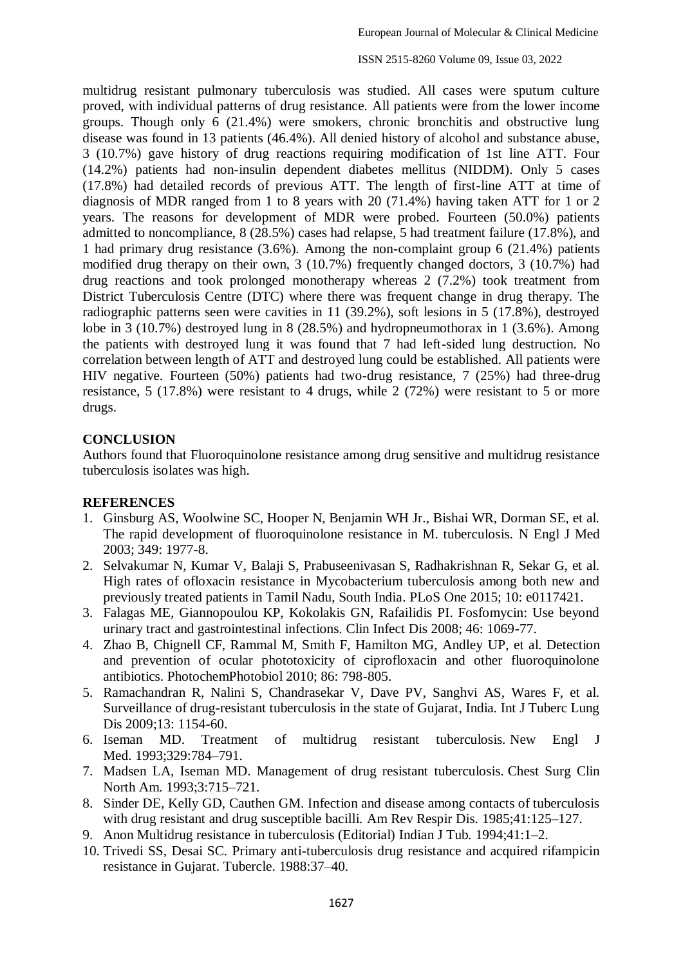ISSN 2515-8260 Volume 09, Issue 03, 2022

multidrug resistant pulmonary tuberculosis was studied. All cases were sputum culture proved, with individual patterns of drug resistance. All patients were from the lower income groups. Though only 6 (21.4%) were smokers, chronic bronchitis and obstructive lung disease was found in 13 patients (46.4%). All denied history of alcohol and substance abuse, 3 (10.7%) gave history of drug reactions requiring modification of 1st line ATT. Four (14.2%) patients had non-insulin dependent diabetes mellitus (NIDDM). Only 5 cases (17.8%) had detailed records of previous ATT. The length of first-line ATT at time of diagnosis of MDR ranged from 1 to 8 years with 20 (71.4%) having taken ATT for 1 or 2 years. The reasons for development of MDR were probed. Fourteen (50.0%) patients admitted to noncompliance, 8 (28.5%) cases had relapse, 5 had treatment failure (17.8%), and 1 had primary drug resistance (3.6%). Among the non-complaint group 6 (21.4%) patients modified drug therapy on their own, 3 (10.7%) frequently changed doctors, 3 (10.7%) had drug reactions and took prolonged monotherapy whereas 2 (7.2%) took treatment from District Tuberculosis Centre (DTC) where there was frequent change in drug therapy. The radiographic patterns seen were cavities in 11 (39.2%), soft lesions in 5 (17.8%), destroyed lobe in 3 (10.7%) destroyed lung in 8 (28.5%) and hydropneumothorax in 1 (3.6%). Among the patients with destroyed lung it was found that 7 had left-sided lung destruction. No correlation between length of ATT and destroyed lung could be established. All patients were HIV negative. Fourteen (50%) patients had two-drug resistance, 7 (25%) had three-drug resistance, 5 (17.8%) were resistant to 4 drugs, while 2 (72%) were resistant to 5 or more drugs.

### **CONCLUSION**

Authors found that Fluoroquinolone resistance among drug sensitive and multidrug resistance tuberculosis isolates was high.

### **REFERENCES**

- 1. Ginsburg AS, Woolwine SC, Hooper N, Benjamin WH Jr., Bishai WR, Dorman SE, et al. The rapid development of fluoroquinolone resistance in M. tuberculosis. N Engl J Med 2003; 349: 1977-8.
- 2. Selvakumar N, Kumar V, Balaji S, Prabuseenivasan S, Radhakrishnan R, Sekar G, et al. High rates of ofloxacin resistance in Mycobacterium tuberculosis among both new and previously treated patients in Tamil Nadu, South India. PLoS One 2015; 10: e0117421.
- 3. Falagas ME, Giannopoulou KP, Kokolakis GN, Rafailidis PI. Fosfomycin: Use beyond urinary tract and gastrointestinal infections. Clin Infect Dis 2008; 46: 1069-77.
- 4. Zhao B, Chignell CF, Rammal M, Smith F, Hamilton MG, Andley UP, et al. Detection and prevention of ocular phototoxicity of ciprofloxacin and other fluoroquinolone antibiotics. PhotochemPhotobiol 2010; 86: 798-805.
- 5. Ramachandran R, Nalini S, Chandrasekar V, Dave PV, Sanghvi AS, Wares F, et al. Surveillance of drug-resistant tuberculosis in the state of Gujarat, India. Int J Tuberc Lung Dis 2009;13: 1154-60.
- 6. Iseman MD. Treatment of multidrug resistant tuberculosis. New Engl J Med. 1993;329:784–791.
- 7. Madsen LA, Iseman MD. Management of drug resistant tuberculosis. Chest Surg Clin North Am. 1993;3:715–721.
- 8. Sinder DE, Kelly GD, Cauthen GM. Infection and disease among contacts of tuberculosis with drug resistant and drug susceptible bacilli. Am Rev Respir Dis. 1985;41:125–127.
- 9. Anon Multidrug resistance in tuberculosis (Editorial) Indian J Tub*.* 1994;41:1–2.
- 10. Trivedi SS, Desai SC. Primary anti-tuberculosis drug resistance and acquired rifampicin resistance in Gujarat. Tubercle. 1988:37–40.